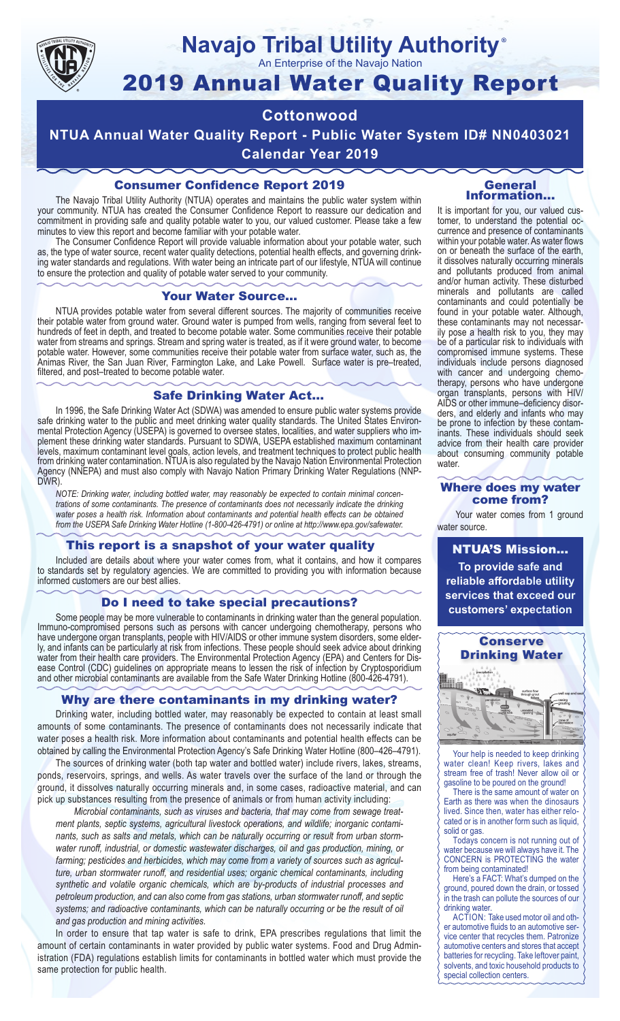

### **Navajo Tribal Utility Authority** ®

An Enterprise of the Navajo Nation

# 2019 Annual Water Quality Report

# **Cottonwood**

**NTUA Annual Water Quality Report - Public Water System ID# NN0403021 Calendar Year 2019**

# Consumer Confidence Report 2019

The Navajo Tribal Utility Authority (NTUA) operates and maintains the public water system within your community. NTUA has created the Consumer Confidence Report to reassure our dedication and commitment in providing safe and quality potable water to you, our valued customer. Please take a few minutes to view this report and become familiar with your potable water.

The Consumer Confidence Report will provide valuable information about your potable water, such as, the type of water source, recent water quality detections, potential health effects, and governing drinking water standards and regulations. With water being an intricate part of our lifestyle, NTUA will continue to ensure the protection and quality of potable water served to your community.

#### Your Water Source…

NTUA provides potable water from several different sources. The majority of communities receive their potable water from ground water. Ground water is pumped from wells, ranging from several feet to hundreds of feet in depth, and treated to become potable water. Some communities receive their potable water from streams and springs. Stream and spring water is treated, as if it were ground water, to become potable water. However, some communities receive their potable water from surface water, such as, the Animas River, the San Juan River, Farmington Lake, and Lake Powell. Surface water is pre–treated, filtered, and post–treated to become potable water.

#### Safe Drinking Water Act…

In 1996, the Safe Drinking Water Act (SDWA) was amended to ensure public water systems provide safe drinking water to the public and meet drinking water quality standards. The United States Environmental Protection Agency (USEPA) is governed to oversee states, localities, and water suppliers who implement these drinking water standards. Pursuant to SDWA, USEPA established maximum contaminant levels, maximum contaminant level goals, action levels, and treatment techniques to protect public health from drinking water contamination. NTUA is also regulated by the Navajo Nation Environmental Protection Agency (NNEPA) and must also comply with Navajo Nation Primary Drinking Water Regulations (NNP-DWR)

*NOTE: Drinking water, including bottled water, may reasonably be expected to contain minimal concentrations of some contaminants. The presence of contaminants does not necessarily indicate the drinking water poses a health risk. Information about contaminants and potential health effects can be obtained from the USEPA Safe Drinking Water Hotline (1-800-426-4791) or online at http://www.epa.gov/safewater.*

#### This report is a snapshot of your water quality

Included are details about where your water comes from, what it contains, and how it compares to standards set by regulatory agencies. We are committed to providing you with information because informed customers are our best allies.

#### Do I need to take special precautions?

Some people may be more vulnerable to contaminants in drinking water than the general population. Immuno-compromised persons such as persons with cancer undergoing chemotherapy, persons who have undergone organ transplants, people with HIV/AIDS or other immune system disorders, some elderly, and infants can be particularly at risk from infections. These people should seek advice about drinking water from their health care providers. The Environmental Protection Agency (EPA) and Centers for Disease Control (CDC) guidelines on appropriate means to lessen the risk of infection by Cryptosporidium and other microbial contaminants are available from the Safe Water Drinking Hotline (800-426-4791).

#### Why are there contaminants in my drinking water?

Drinking water, including bottled water, may reasonably be expected to contain at least small amounts of some contaminants. The presence of contaminants does not necessarily indicate that water poses a health risk. More information about contaminants and potential health effects can be obtained by calling the Environmental Protection Agency's Safe Drinking Water Hotline (800–426–4791).

The sources of drinking water (both tap water and bottled water) include rivers, lakes, streams, ponds, reservoirs, springs, and wells. As water travels over the surface of the land or through the ground, it dissolves naturally occurring minerals and, in some cases, radioactive material, and can pick up substances resulting from the presence of animals or from human activity including:

*Microbial contaminants, such as viruses and bacteria, that may come from sewage treatment plants, septic systems, agricultural livestock operations, and wildlife; inorganic contaminants, such as salts and metals, which can be naturally occurring or result from urban stormwater runoff, industrial, or domestic wastewater discharges, oil and gas production, mining, or farming; pesticides and herbicides, which may come from a variety of sources such as agriculture, urban stormwater runoff, and residential uses; organic chemical contaminants, including synthetic and volatile organic chemicals, which are by-products of industrial processes and petroleum production, and can also come from gas stations, urban stormwater runoff, and septic systems; and radioactive contaminants, which can be naturally occurring or be the result of oil and gas production and mining activities.*

In order to ensure that tap water is safe to drink, EPA prescribes regulations that limit the amount of certain contaminants in water provided by public water systems. Food and Drug Administration (FDA) regulations establish limits for contaminants in bottled water which must provide the same protection for public health.

#### General Information…

It is important for you, our valued customer, to understand the potential occurrence and presence of contaminants within your potable water. As water flows on or beneath the surface of the earth, it dissolves naturally occurring minerals and pollutants produced from animal and/or human activity. These disturbed minerals and pollutants are called contaminants and could potentially be found in your potable water. Although, these contaminants may not necessarily pose a health risk to you, they may be of a particular risk to individuals with compromised immune systems. These individuals include persons diagnosed with cancer and undergoing chemo-<br>therapy, persons who have undergone organ transplants, persons with HIV/ AIDS or other immune–deficiency disor- ders, and elderly and infants who may be prone to infection by these contam- inants. These individuals should seek advice from their health care provider about consuming community potable water.

#### Where does my water come from?

Your water comes from 1 ground water source.

NTUA'S Mission... **To provide safe and reliable affordable utility services that exceed our customers' expectation**



Your help is needed to keep drinking water clean! Keep rivers, lakes and stream free of trash! Never allow oil or gasoline to be poured on the ground!

There is the same amount of water on Earth as there was when the dinosaurs lived. Since then, water has either relocated or is in another form such as liquid, solid or gas.

Todays concern is not running out of water because we will always have it. The CONCERN is PROTECTING the water from being contaminated!

Here's a FACT: What's dumped on the ground, poured down the drain, or tossed in the trash can pollute the sources of our drinking water.

ACTION: Take used motor oil and other automotive fluids to an automotive service center that recycles them. Patronize automotive centers and stores that accept batteries for recycling. Take leftover paint, solvents, and toxic household products to special collection centers.